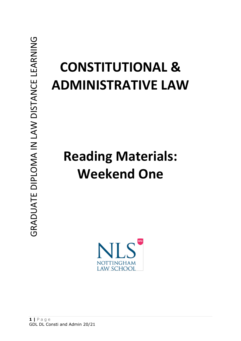# **CONSTITUTIONAL & ADMINISTRATIVE LAW**

# **Reading Materials: Weekend One**

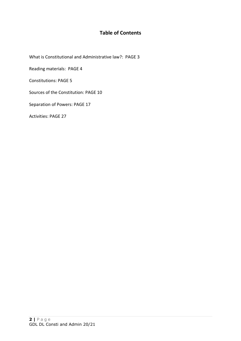# **Table of Contents**

What is Constitutional and Administrative law?: PAGE 3

Reading materials: PAGE 4

Constitutions: PAGE 5

Sources of the Constitution: PAGE 10

Separation of Powers: PAGE 17

Activities: PAGE 27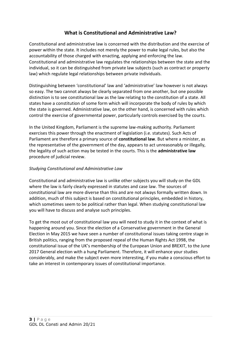# **What is Constitutional and Administrative Law?**

Constitutional and administrative law is concerned with the distribution and the exercise of power within the state. It includes not merely the power to make legal rules, but also the accountability of those charged with enacting, applying and enforcing the law. Constitutional and administrative law regulates the relationships between the state and the individual, so it can be distinguished from private law subjects (such as contract or property law) which regulate legal relationships between private individuals.

Distinguishing between 'constitutional' law and 'administrative' law however is not always so easy. The two cannot always be clearly separated from one another, but one possible distinction is to see constitutional law as the law relating to the constitution of a state. All states have a constitution of some form which will incorporate the body of rules by which the state is governed. Administrative law, on the other hand, is concerned with rules which control the exercise of governmental power, particularly controls exercised by the courts.

In the United Kingdom, Parliament is the supreme law-making authority. Parliament exercises this power through the enactment of legislation (i.e. statutes). Such Acts of Parliament are therefore a primary source of **constitutional law**. But where a minister, as the representative of the government of the day, appears to act unreasonably or illegally, the legality of such action may be tested in the courts. This is the **administrative law** procedure of judicial review.

## *Studying Constitutional and Administrative Law*

Constitutional and administrative law is unlike other subjects you will study on the GDL where the law is fairly clearly expressed in statutes and case law. The sources of constitutional law are more diverse than this and are not always formally written down. In addition, much of this subject is based on constitutional principles, embedded in history, which sometimes seem to be political rather than legal. When studying constitutional law you will have to discuss and analyse such principles.

To get the most out of constitutional law you will need to study it in the context of what is happening around you. Since the election of a Conservative government in the General Election in May 2015 we have seen a number of constitutional issues taking centre stage in British politics, ranging from the proposed repeal of the Human Rights Act 1998, the constitutional issue of the UK's membership of the European Union and BREXIT, to the June 2017 General election with a hung Parliament. Therefore, it will enhance your studies considerably, and make the subject even more interesting, if you make a conscious effort to take an interest in contemporary issues of constitutional importance.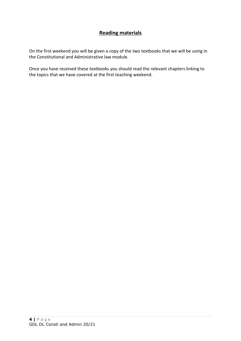# **Reading materials**

On the first weekend you will be given a copy of the two textbooks that we will be using in the Constitutional and Administrative law module.

Once you have received these textbooks you should read the relevant chapters linking to the topics that we have covered at the first teaching weekend.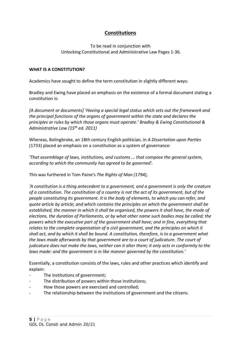# **Constitutions**

To be read in conjunction with Unlocking Constitutional and Administrative Law Pages 1-36.

#### **WHAT IS A CONSTITUTION?**

Academics have sought to define the term constitution in slightly different ways:

Bradley and Ewing have placed an emphasis on the existence of a formal document stating a constitution is:

*[A document or documents] 'Having a special legal status which sets out the framework and the principal functions of the organs of government within the state and declares the principles or rules by which those organs must operate.' Bradley & Ewing Constitutional & Administrative Law (15th ed. 2011)*

Whereas, Bolingbroke, an 18th century English politician, in *A Dissertation upon Parties* (1733) placed an emphasis on a constitution as a system of governance:

*'That assemblage of laws, institutions, and customs ... that compose the general system, according to which the community has agreed to be governed'.* 

This was furthered in Tom Paine's *The Rights of Man (1794)*,

*'A constitution is a thing antecedent to a government, and a government is only the creature of a constitution. The constitution of a country is not the act of its government, but of the people constituting its government. It is the body of elements, to which you can refer, and quote article by article; and which contains the principles on which the government shall be established, the manner in which it shall be organised, the powers it shall have, the mode of elections, the duration of Parliaments, or by what other name such bodies may be called; the powers which the executive part of the government shall have; and in fine, everything that relates to the complete organisation of a civil government, and the principles on which it shall act, and by which it shall be bound. A constitution, therefore, is to a government what the laws made afterwards by that government are to a court of judicature. The court of judicature does not make the laws, neither can it alter them; it only acts in conformity to the laws made: and the government is in like manner governed by the constitution.'*

Essentially, a constitution consists of the laws, rules and other practices which identify and explain:

- The institutions of government;
- The distribution of powers within those institutions;
- How those powers are exercised and controlled;
- The relationship between the institutions of government and the citizens.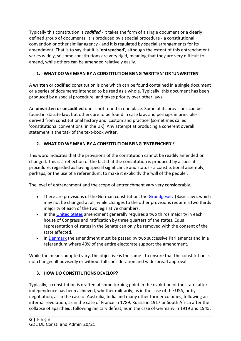Typically this constitution is *codified* - it takes the form of a single document or a clearly defined group of documents, it is produced by a special procedure - a constitutional convention or other similar agency - and it is regulated by special arrangements for its amendment. That is to say that it is '**entrenched**', although the extent of this entrenchment varies widely, so some constitutions are very rigid, meaning that they are very difficult to amend, while others can be amended relatively easily.

# **1. WHAT DO WE MEAN BY A CONSTITUTION BEING 'WRITTEN' OR 'UNWRITTEN'**

A **written** or **codified** constitution is one which can be found contained in a single document or a series of documents intended to be read as a whole. Typically, this document has been produced by a special procedure, and takes priority over other laws.

An **unwritten or uncodified** one is not found in one place. Some of its provisions can be found in statute law, but others are to be found in case law, and perhaps in principles derived from constitutional history and 'custom and practice' (sometimes called 'constitutional conventions' in the UK). Any attempt at producing a coherent overall statement is the task of the text-book writer.

# **2. WHAT DO WE MEAN BY A CONSTITUTION BEING 'ENTRENCHED'?**

This word indicates that the provisions of the constitution cannot be readily amended or changed. This is a reflection of the fact that the constitution is produced by a special procedure, regarded as having special significance and status - a constitutional assembly, perhaps, or the use of a referendum, to make it explicitly the 'will of the people'.

The level of entrenchment and the scope of entrenchment vary very considerably.

- There are provisions of the German constitution, the [Grundgesetz](https://www.btg-bestellservice.de/pdf/80201000.pdf) (Basic Law), which may not be changed at all, while changes to the other provisions require a two thirds majority of each of the two legislative chambers.
- In the [United States](http://www.usconstitution.net/const.html#Am17S2) amendment generally requires a two thirds majority in each house of Congress and ratification by three quarters of the states. Equal representation of states in the Senate can only be removed with the consent of the state affected.
- In [Denmark](http://www.thedanishparliament.dk/Publications/~/media/Pdf_materiale/Pdf_publikationer/English/My%20Constitutional%20Act_with_explanations%20pdf.ashx) the amendment must be passed by two successive Parliaments and in a referendum where 40% of the entire electorate support the amendment.

While the means adopted vary, the objective is the same - to ensure that the constitution is not changed ill-advisedly or without full consideration and widespread approval.

## **3. HOW DO CONSTITUTIONS DEVELOP?**

Typically, a constitution is drafted at some turning point in the evolution of the state; after independence has been achieved, whether militarily, as in the case of the USA, or by negotiation, as in the case of Australia, India and many other former colonies; following an internal revolution, as in the case of France in 1789, Russia in 1917 or South Africa after the collapse of apartheid; following military defeat, as in the case of Germany in 1919 and 1945;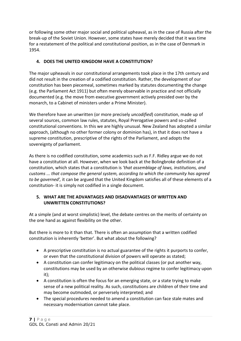or following some other major social and political upheaval, as in the case of Russia after the break-up of the Soviet Union. However, some states have merely decided that it was time for a restatement of the political and constitutional position, as in the case of Denmark in 1954.

# **4. DOES THE UNITED KINGDOM HAVE A CONSTITUTION?**

The major upheavals in our constitutional arrangements took place in the 17th century and did not result in the creation of a codified constitution. Rather, the development of our constitution has been piecemeal, sometimes marked by statutes documenting the change (e.g. the Parliament Act 1911) but often merely observable in practice and not officially documented (e.g. the move from executive government actively presided over by the monarch, to a Cabinet of ministers under a Prime Minister).

We therefore have an unwritten (or more precisely *uncodified*) constitution, made up of several sources, common law rules, statutes, Royal Prerogative powers and so-called constitutional conventions. In this we are highly unusual. New Zealand has adopted a similar approach, (although no other former colony or dominion has), in that it does not have a supreme constitution, prescriptive of the rights of the Parliament, and adopts the sovereignty of parliament.

As there is no codified constitution, some academics such as F.F. Ridley argue we do not have a constitution at all. However, when we look back at the Bolingbroke definition of a constitution, which states that a constitution is *'that assemblage of laws, institutions, and customs ... that compose the general system, according to which the community has agreed to be governed',* it can be argued that the United Kingdom satisfies all of these elements of a constitution- it is simply not codified in a single document.

## **5. WHAT ARE THE ADVANTAGES AND DISADVANTAGES OF WRITTEN AND UNWRITTEN CONSTITUTIONS?**

At a simple (and at worst simplistic) level, the debate centres on the merits of certainty on the one hand as against flexibility on the other.

But there is more to it than that. There is often an assumption that a written codified constitution is inherently 'better'. But what about the following?

- A prescriptive constitution is no actual guarantee of the rights it purports to confer, or even that the constitutional division of powers will operate as stated;
- A constitution can confer legitimacy on the political classes (or put another way, constitutions may be used by an otherwise dubious regime to confer legitimacy upon it);
- A constitution is often the focus for an emerging state, or a state trying to make sense of a new political reality. As such, constitutions are children of their time and may become outmoded, or perversely interpreted; and
- The special procedures needed to amend a constitution can face stale mates and necessary modernisation cannot take place.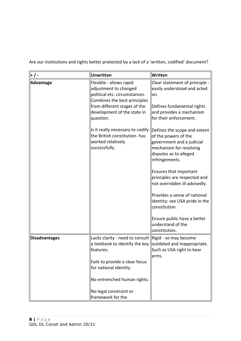Are our institutions and rights better protected by a lack of a 'written, codified' document?

| + / -         | Unwritten                                                                                                                                                                                                                                                                                                | Written                                                                                                                                                                                                                                                                                                                                                                                                                                                                                                                                                       |
|---------------|----------------------------------------------------------------------------------------------------------------------------------------------------------------------------------------------------------------------------------------------------------------------------------------------------------|---------------------------------------------------------------------------------------------------------------------------------------------------------------------------------------------------------------------------------------------------------------------------------------------------------------------------------------------------------------------------------------------------------------------------------------------------------------------------------------------------------------------------------------------------------------|
| Advantage     | Flexible - allows rapid<br>adjustment to changed<br>political etc. circumstances.<br>Combines the best principles<br>from different stages of the<br>development of the state in<br>question.<br>Is it really necessary to codify<br>the British constitution- has<br>worked relatively<br>successfully. | Clear statement of principle -<br>easily understood and acted<br>on.<br>Defines fundamental rights<br>and provides a mechanism<br>for their enforcement.<br>Defines the scope and extent<br>of the powers of the<br>government and a judicial<br>mechanism for resolving<br>disputes as to alleged<br>infringements.<br><b>Ensures that important</b><br>principles are respected and<br>not overridden ill-advisedly.<br>Provides a sense of national<br>identity: see USA pride in the<br>constitution.<br>Ensure public have a better<br>understand of the |
|               |                                                                                                                                                                                                                                                                                                          | constitution.                                                                                                                                                                                                                                                                                                                                                                                                                                                                                                                                                 |
| Disadvantages | Lacks clarity - need to consult $\parallel$ Rigid - so may become<br>a textbook to identify the key outdated and inappropriate.<br>features.                                                                                                                                                             | Such as USA right to bear<br>arms.                                                                                                                                                                                                                                                                                                                                                                                                                                                                                                                            |
|               | Fails to provide a clear focus<br>for national identity.                                                                                                                                                                                                                                                 |                                                                                                                                                                                                                                                                                                                                                                                                                                                                                                                                                               |
|               | No entrenched human rights.                                                                                                                                                                                                                                                                              |                                                                                                                                                                                                                                                                                                                                                                                                                                                                                                                                                               |
|               | No legal constraint or<br>framework for the                                                                                                                                                                                                                                                              |                                                                                                                                                                                                                                                                                                                                                                                                                                                                                                                                                               |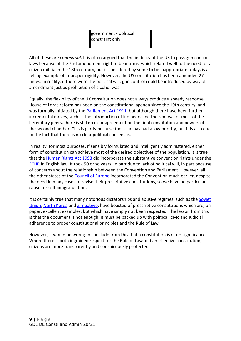| government - political<br>constraint only. |  |
|--------------------------------------------|--|
|                                            |  |

All of these are *contextual*. It is often argued that the inability of the US to pass gun control laws because of the 2nd amendment right to bear arms, which related well to the need for a citizen militia in the 18th century, but is considered by some to be inappropriate today, is a telling example of improper rigidity. However, the US constitution has been amended 27 times. In reality, if there were the political will, gun control could be introduced by way of amendment just as prohibition of alcohol was.

Equally, the flexibility of the UK constitution does not always produce a speedy response. House of Lords reform has been on the constitutional agenda since the 19th century, and was formally initiated by the [Parliament Act 1911,](http://www.bailii.org/uk/legis/num_act/1911/1069329.html) but although there have been further incremental moves, such as the introduction of life peers and the removal of most of the hereditary peers, there is still no clear agreement on the final constitution and powers of the second chamber. This is partly because the issue has had a low priority, but it is also due to the fact that there is no clear political consensus.

In reality, for most purposes, if sensibly formulated and intelligently administered, either form of constitution can achieve most of the desired objectives of the population. It is true that the [Human Rights Act 1998](http://www.bailii.org/uk/legis/num_act/1998/ukpga_19980042_en_1.html) did incorporate the substantive convention rights under the [ECHR](http://www.echr.coe.int/NR/rdonlyres/D5CC24A7-DC13-4318-B457-5C9014916D7A/0/CONVENTION_ENG_WEB.pdf) in English law. It took 50 or so years, in part due to lack of political will, in part because of concerns about the relationship between the Convention and Parliament. However, all the other states of the [Council of Europe](http://hub.coe.int/) incorporated the Convention much earlier, despite the need in many cases to revise their prescriptive constitutions, so we have no particular cause for self-congratulation.

It is certainly true that many notorious dictatorships and abusive regimes, such as the [Soviet](http://www.constitution.org/cons/ussr77.txt)  [Union,](http://www.constitution.org/cons/ussr77.txt) [North Korea](http://www.novexcn.com/dprk_constitution_98.html) and [Zimbabwe,](http://aceproject.org/ero-en/regions/africa/ZW/zimbabwe-constitution-of-zimbabwe-2008-1) have boasted of prescriptive constitutions which are, on paper, excellent examples, but which have simply not been respected. The lesson from this is that the document is not enough; it must be backed up with political, civic and judicial adherence to proper constitutional principles and the Rule of Law.

However, it would be wrong to conclude from this that a constitution is of no significance. Where there is both ingrained respect for the Rule of Law and an effective constitution, citizens are more transparently and conspicuously protected.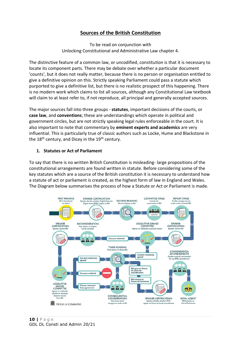# **Sources of the British Constitution**

To be read on conjunction with Unlocking Constitutional and Administrative Law chapter 4.

The distinctive feature of a common law, or uncodified, constitution is that it is necessary to locate its component parts. There may be debate over whether a particular document 'counts', but it does not really matter, because there is no person or organisation entitled to give a definitive opinion on this. Strictly speaking Parliament could pass a statute which purported to give a definitive list, but there is no realistic prospect of this happening. There is no modern work which claims to list all sources, although any Constitutional Law textbook will claim to at least refer to, if not reproduce, all principal and generally accepted sources.

The major sources fall into three groups - **statutes**, important decisions of the courts, or **case law**, and **conventions**; these are understandings which operate in political and government circles, but are not strictly speaking legal rules enforceable in the court. It is also important to note that commentary by **eminent experts and academics** are very influential. This is particularly true of classic authors such as Locke, Hume and Blackstone in the 18<sup>th</sup> century, and Dicey in the 19<sup>th</sup> century.

#### **1. Statutes or Act of Parliament**

To say that there is no written British Constitution is misleading- large propositions of the constitutional arrangements are found written in statute. Before considering some of the key statutes which are a source of the British constitution it is necessary to understand how a statute of act or parliament is created, as the highest form of law in England and Wales. The Diagram below summarises the process of how a Statute or Act or Parliament is made.

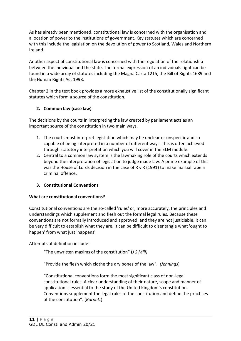As has already been mentioned, constitutional law is concerned with the organisation and allocation of power to the institutions of government. Key statutes which are concerned with this include the legislation on the devolution of power to Scotland, Wales and Northern Ireland.

Another aspect of constitutional law is concerned with the regulation of the relationship between the individual and the state. The formal expression of an individuals right can be found in a wide array of statutes including the Magna Carta 1215, the Bill of Rights 1689 and the Human Rights Act 1998.

Chapter 2 in the text book provides a more exhaustive list of the constitutionally significant statutes which form a source of the constitution.

## **2. Common law (case law)**

The decisions by the courts in interpreting the law created by parliament acts as an important source of the constitution in two main ways.

- 1. The courts must interpret legislation which may be unclear or unspecific and so capable of being interpreted in a number of different ways. This is often achieved through statutory interpretation which you will cover in the ELM module.
- 2. Central to a common law system is the lawmaking role of the courts which extends beyond the interpretation of legislation to judge made law. A prime example of this was the House of Lords decision in the case of R v R (1991) to make martial rape a criminal offence.

## **3. Constitutional Conventions**

## **What are constitutional conventions?**

Constitutional conventions are the so-called 'rules' or, more accurately, the principles and understandings which supplement and flesh out the formal legal rules. Because these conventions are not formally introduced and approved, and they are not justiciable, it can be very difficult to establish what they are. It can be difficult to disentangle what 'ought to happen' from what just 'happens'.

Attempts at definition include:

"The unwritten maxims of the constitution" (*J S Mill)*

"Provide the flesh which clothe the dry bones of the law". *(Jennings*)

"Constitutional conventions form the most significant class of non-legal constitutional rules. A clear understanding of their nature, scope and manner of application is essential to the study of the United Kingdom's constitution. Conventions supplement the legal rules of the constitution and define the practices of the constitution". (*Barnett*).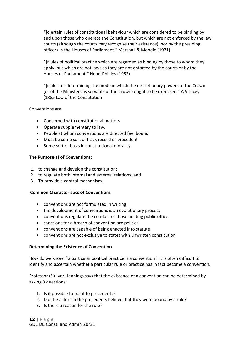"[c]ertain rules of constitutional behaviour which are considered to be binding by and upon those who operate the Constitution, but which are not enforced by the law courts (although the courts may recognise their existence), nor by the presiding officers in the Houses of Parliament." Marshall & Moodie (1971)

"[r]ules of political practice which are regarded as binding by those to whom they apply, but which are not laws as they are not enforced by the courts or by the Houses of Parliament." Hood-Phillips (1952)

"[r]ules for determining the mode in which the discretionary powers of the Crown (or of the Ministers as servants of the Crown) ought to be exercised." A V Dicey (1885 Law of the Constitution

#### Conventions are

- Concerned with constitutional matters
- Operate supplementary to law.
- People at whom conventions are directed feel bound
- Must be some sort of track record or precedent
- Some sort of basis in constitutional morality.

## **The Purpose(s) of Conventions:**

- 1. to change and develop the constitution;
- 2. to regulate both internal and external relations; and
- 3. To provide a control mechanism.

## **Common Characteristics of Conventions**

- conventions are not formulated in writing
- the development of conventions is an evolutionary process
- conventions regulate the conduct of those holding public office
- sanctions for a breach of convention are political
- conventions are capable of being enacted into statute
- conventions are not exclusive to states with unwritten constitution

## **Determining the Existence of Convention**

How do we know if a particular political practice is a convention? It is often difficult to identify and ascertain whether a particular rule or practice has in fact become a convention.

Professor (Sir Ivor) Jennings says that the existence of a convention can be determined by asking 3 questions:

- 1. Is it possible to point to precedents?
- 2. Did the actors in the precedents believe that they were bound by a rule?
- 3. Is there a reason for the rule?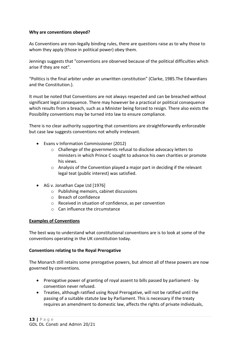#### **Why are conventions obeyed?**

As Conventions are non-legally binding rules, there are questions raise as to why those to whom they apply (those in political power) obey them.

Jennings suggests that "conventions are observed because of the political difficulties which arise if they are not".

"Politics is the final arbiter under an unwritten constitution" (Clarke, 1985.The Edwardians and the Constitution.).

It must be noted that Conventions are not always respected and can be breached without significant legal consequence. There may however be a practical or political consequence which results from a breach, such as a Minister being forced to resign. There also exists the Possibility conventions may be turned into law to ensure compliance.

There is no clear authority supporting that conventions are straightforwardly enforceable but case law suggests conventions not wholly irrelevant.

- Evans v Information Commissioner (2012)
	- o Challenge of the governments refusal to disclose advocacy letters to ministers in which Prince C sought to advance his own charities or promote his views.
	- o Analysis of the Convention played a major part in deciding if the relevant legal teat (public interest) was satisfied.
- AG v. Jonathan Cape Ltd [1976]
	- o Publishing memoirs, cabinet discussions
	- o Breach of confidence
	- o Received in situation of confidence, as per convention
	- o Can influence the circumstance

#### **Examples of Conventions**

The best way to understand what constitutional conventions are is to look at some of the conventions operating in the UK constitution today.

#### **Conventions relating to the Royal Prerogative**

The Monarch still retains some prerogative powers, but almost all of these powers are now governed by conventions.

- Prerogative power of granting of royal assent to bills passed by parliament by convention never refused.
- Treaties, although ratified using Royal Prerogative, will not be ratified until the passing of a suitable statute law by Parliament. This is necessary if the treaty requires an amendment to domestic law, affects the rights of private individuals,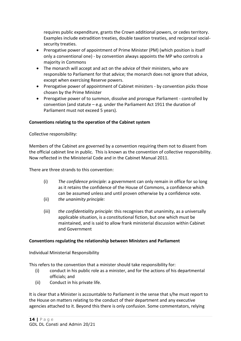requires public expenditure, grants the Crown additional powers, or cedes territory. Examples include extradition treaties, double taxation treaties, and reciprocal socialsecurity treaties.

- Prerogative power of appointment of Prime Minister (PM) (which position is itself only a conventional one) - by convention always appoints the MP who controls a majority in Commons
- The monarch will accept and act on the advice of their ministers, who are responsible to Parliament for that advice; the monarch does not ignore that advice, except when exercising Reserve powers.
- Prerogative power of appointment of Cabinet ministers by convention picks those chosen by the Prime Minister
- Prerogative power of to summon, dissolve and prorogue Parliament controlled by convention (and statute – e.g. under the Parliament Act 1911 the duration of Parliament must not exceed 5 years).

#### **Conventions relating to the operation of the Cabinet system**

Collective responsibility:

Members of the Cabinet are governed by a convention requiring them not to dissent from the official cabinet line in public. This is known as the convention of collective responsibility. Now reflected in the Ministerial Code and in the Cabinet Manual 2011.

There are three strands to this convention:

- (i) *The confidence principle:* a government can only remain in office for so long as it retains the confidence of the House of Commons, a confidence which can be assumed unless and until proven otherwise by a confidence vote.
- (ii) *the unanimity principle:*
- (iii) *the confidentiality principle:* this recognises that unanimity, as a universally applicable situation, is a constitutional fiction, but one which must be maintained, and is said to allow frank ministerial discussion within Cabinet and Government

#### **Conventions regulating the relationship between Ministers and Parliament**

Individual Ministerial Responsibility

This refers to the convention that a minister should take responsibility for:

- (i) conduct in his public role as a minister, and for the actions of his departmental officials; and
- (ii) Conduct in his private life.

It is clear that a Minister is accountable to Parliament in the sense that s/he must report to the House on matters relating to the conduct of their department and any executive agencies attached to it. Beyond this there is only confusion. Some commentators, relying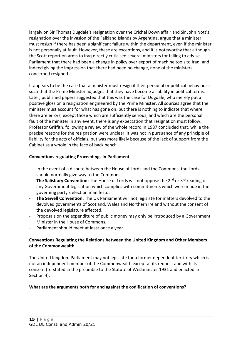largely on Sir Thomas Dugdale's resignation over the Crichel Down affair and Sir John Nott's resignation over the invasion of the Falkland Islands by Argentina, argue that a minister must resign if there has been a significant failure within the department, even if the minister is not personally at fault. However, these are exceptions, and it is noteworthy that although the Scott report on arms to Iraq directly criticised several ministers for failing to advise Parliament that there had been a change in policy over export of machine tools to Iraq, and indeed giving the impression that there had been no change, none of the ministers concerned resigned.

It appears to be the case that a minister must resign if their personal or political behaviour is such that the Prime Minister adjudges that they have become a liability in political terms. Later, published papers suggested that this was the case for Dugdale, who merely put a positive gloss on a resignation engineered by the Prime Minister. All sources agree that the minister must account for what has gone on, but there is nothing to indicate that where there are errors, except those which are sufficiently serious, and which are the personal fault of the minister in any event, there is any expectation that resignation must follow. Professor Griffith, following a review of the whole record in 1987 concluded that, while the precise reasons for the resignation were unclear, it was not in pursuance of any principle of liability for the acts of officials, but was more likely because of the lack of support from the Cabinet as a whole in the face of back bench

## **Conventions regulating Proceedings in Parliament**

- In the event of a dispute between the House of Lords and the Commons, the Lords should normally give way to the Commons.
- **The Salisbury Convention**: The House of Lords will not oppose the 2<sup>nd</sup> or 3<sup>rd</sup> reading of any Government legislation which complies with commitments which were made in the governing party's election manifesto.
- The Sewell Convention: The UK Parliament will not legislate for matters devolved to the devolved governments of Scotland, Wales and Northern Ireland without the consent of the devolved legislature affected.
- Proposals on the expenditure of public money may only be introduced by a Government Minister in the House of Commons.
- Parliament should meet at least once a year.

#### **Conventions Regulating the Relations between the United Kingdom and Other Members of the Commonwealth**

The United Kingdom Parliament may not legislate for a former dependent territory which is not an independent member of the Commonwealth except at its request and with its consent (re-stated in the preamble to the Statute of Westminster 1931 and enacted in Section 4).

#### **What are the arguments both for and against the codification of conventions?**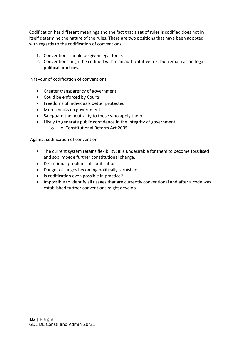Codification has different meanings and the fact that a set of rules is codified does not in itself determine the nature of the rules. There are two positions that have been adopted with regards to the codification of conventions.

- 1. Conventions should be given legal force.
- 2. Conventions might be codified within an authoritative text but remain as on-legal political practices.

In favour of codification of conventions

- Greater transparency of government.
- Could be enforced by Courts
- Freedoms of individuals better protected
- More checks on government
- Safeguard the neutrality to those who apply them.
- Likely to generate public confidence in the integrity of government o I.e. Constitutional Reform Act 2005.

Against codification of convention

- The current system retains flexibility: it is undesirable for them to become fossilised and sop impede further constitutional change.
- Definitional problems of codification
- Danger of judges becoming politically tarnished
- Is codification even possible in practice?
- Impossible to identify all usages that are currently conventional and after a code was established further conventions might develop.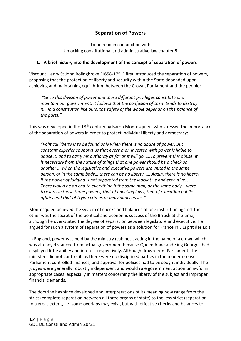# **Separation of Powers**

To be read in conjunction with Unlocking constitutional and administrative law chapter 5

## **1. A brief history into the development of the concept of separation of powers**

Viscount Henry St John Bolingbroke (1658-1751) first introduced the separation of powers, proposing that the protection of liberty and security within the State depended upon achieving and maintaining equilibrium between the Crown, Parliament and the people:

*"Since this division of power and these different privileges constitute and maintain our government, it follows that the confusion of them tends to destroy it... in a constitution like ours, the safety of the whole depends on the balance of the parts."*

This was developed in the 18<sup>th</sup> century by Baron Montesquieu, who stressed the importance of the separation of powers in order to protect individual liberty and democracy:

*"Political liberty is to be found only when there is no abuse of power. But constant experience shows us that every man invested with power is liable to abuse it, and to carry his authority as far as it will go …..To prevent this abuse, it is necessary from the nature of things that one power should be a check on another ….when the legislative and executive powers are united in the same person, or in the same body… there can be no liberty…… Again, there is no liberty if the power of judging is not separated from the legislative and executive…….. There would be an end to everything if the same man, or the same body… were to exercise those three powers, that of enacting laws, that of executing public affairs and that of trying crimes or individual causes."*

Montesquieu believed the system of checks and balances of one institution against the other was the secret of the political and economic success of the British at the time, although he over-stated the degree of separation between legislature and executive. He argued for such a system of separation of powers as a solution for France in L'Esprit des Lois.

In England, power was held by the ministry (cabinet), acting in the name of a crown which was already distanced from actual government because Queen Anne and King George I had displayed little ability and interest respectively. Although drawn from Parliament, the ministers did not control it, as there were no disciplined parties in the modern sense. Parliament controlled finances, and approval for policies had to be sought individually. The judges were generally robustly independent and would rule government action unlawful in appropriate cases, especially in matters concerning the liberty of the subject and improper financial demands.

The doctrine has since developed and interpretations of its meaning now range from the strict (complete separation between all three organs of state) to the less strict (separation to a great extent, i.e. some overlaps may exist, but with effective checks and balances to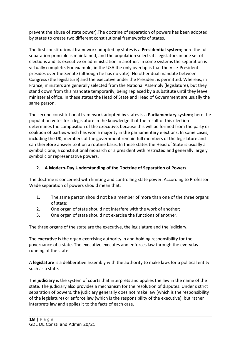prevent the abuse of state power).The doctrine of separation of powers has been adopted by states to create two different constitutional frameworks of states.

The first constitutional framework adopted by states is a **Presidential system**; here the full separation principle is maintained, and the population selects its legislators in one set of elections and its executive or administration in another. In some systems the separation is virtually complete. For example, in the USA the only overlap is that the Vice-President presides over the Senate (although he has no vote). No other dual mandate between Congress (the legislature) and the executive under the President is permitted. Whereas, in France, ministers are generally selected from the National Assembly (legislature), but they stand down from this mandate temporarily, being replaced by a substitute until they leave ministerial office. In these states the Head of State and Head of Government are usually the same person.

The second constitutional framework adopted by states is a **Parliamentary system**; here the population votes for a legislature in the knowledge that the result of this election determines the composition of the executive, because this will be formed from the party or coalition of parties which has won a majority in the parliamentary elections. In some cases, including the UK, members of the government remain full members of the legislature and can therefore answer to it on a routine basis. In these states the Head of State is usually a symbolic one, a constitutional monarch or a president with restricted and generally largely symbolic or representative powers.

## **2. A Modern-Day Understanding of the Doctrine of Separation of Powers**

The doctrine is concerned with limiting and controlling state power. According to Professor Wade separation of powers should mean that:

- 1. The same person should not be a member of more than one of the three organs of state;
- 2. One organ of state should not interfere with the work of another;
- 3. One organ of state should not exercise the functions of another.

The three organs of the state are the executive, the legislature and the judiciary.

The **executive** is the organ exercising authority in and holding responsibility for the governance of a state. The executive executes and enforces law through the everyday running of the state.

A **legislature** is a deliberative assembly with the authority to make laws for a political entity such as a state.

The **judiciary** is the system of courts that interprets and applies the law in the name of the state. The judiciary also provides a mechanism for the resolution of disputes. Under s strict separation of powers, the judiciary generally does not make law (which is the responsibility of the legislature) or enforce law (which is the responsibility of the executive), but rather interprets law and applies it to the facts of each case.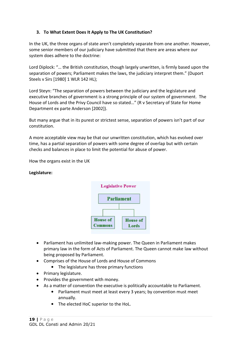## **3. To What Extent Does It Apply to The UK Constitution?**

In the UK, the three organs of state aren't completely separate from one another. However, some senior members of our judiciary have submitted that there are areas where our system does adhere to the doctrine:

Lord Diplock: "… the British constitution, though largely unwritten, is firmly based upon the separation of powers; Parliament makes the laws, the judiciary interpret them." (Duport Steels v Sirs [1980] 1 WLR 142 HL);

Lord Steyn: "The separation of powers between the judiciary and the legislature and executive branches of government is a strong principle of our system of government. The House of Lords and the Privy Council have so stated…" (R v Secretary of State for Home Department ex parte Anderson [2002]).

But many argue that in its purest or strictest sense, separation of powers isn't part of our constitution.

A more acceptable view may be that our unwritten constitution, which has evolved over time, has a partial separation of powers with some degree of overlap but with certain checks and balances in place to limit the potential for abuse of power.

How the organs exist in the UK

#### **Legislature:**



- Parliament has unlimited law-making power. The Queen in Parliament makes primary law in the form of Acts of Parliament. The Queen cannot make law without being proposed by Parliament.
- Comprises of the House of Lords and House of Commons
	- The legislature has three primary functions
- Primary legislature.
- Provides the government with money.
- As a matter of convention the executive is politically accountable to Parliament.
	- Parliament must meet at least every 3 years; by convention must meet annually.
	- The elected HoC superior to the HoL.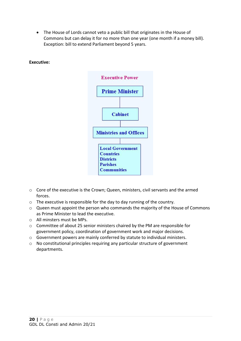• The House of Lords cannot veto a public bill that originates in the House of Commons but can delay it for no more than one year (one month if a money bill). Exception: bill to extend Parliament beyond 5 years.

#### **Executive:**



- o Core of the executive is the Crown; Queen, ministers, civil servants and the armed forces.
- o The executive is responsible for the day to day running of the country.
- o Queen must appoint the person who commands the majority of the House of Commons as Prime Minister to lead the executive.
- o All minsters must be MPs.
- o Committee of about 25 senior ministers chaired by the PM are responsible for government policy, coordination of government work and major decisions.
- o Government powers are mainly conferred by statute to individual ministers.
- o No constitutional principles requiring any particular structure of government departments.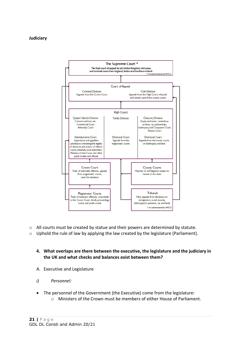#### **Judiciary**



 $\circ$  All courts must be created by statue and their powers are determined by statute.

o Uphold the rule of law by applying the law created by the legislature (Parliament).

#### **4. What overlaps are there between the executive, the legislature and the judiciary in the UK and what checks and balances exist between them?**

- A. Executive and Legislature
- *i) Personnel:*
- The personnel of the Government (the Executive) come from the legislature:
	- o Ministers of the Crown must be members of either House of Parliament.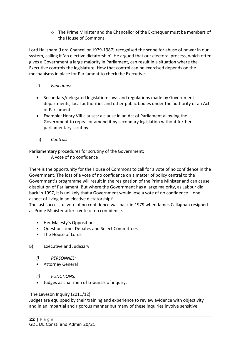o The Prime Minister and the Chancellor of the Exchequer must be members of the House of Commons.

Lord Hailsham (Lord Chancellor 1979-1987) recognised the scope for abuse of power in our system, calling it 'an elective dictatorship'. He argued that our electoral process, which often gives a Government a large majority in Parliament, can result in a situation where the Executive controls the legislature. How that control can be exercised depends on the mechanisms in place for Parliament to check the Executive.

- *ii) Functions:*
- Secondary/delegated legislation: laws and regulations made by Government departments, local authorities and other public bodies under the authority of an Act of Parliament.
- Example: Henry VIII clauses: a clause in an Act of Parliament allowing the Government to repeal or amend it by secondary legislation without further parliamentary scrutiny.
- iii) *Controls*:

Parliamentary procedures for scrutiny of the Government:

• A vote of no confidence

There is the opportunity for the House of Commons to call for a vote of no confidence in the Government. The loss of a vote of no confidence on a matter of policy central to the Government's programme will result in the resignation of the Prime Minister and can cause dissolution of Parliament. But where the Government has a large majority, as Labour did back in 1997, it is unlikely that a Government would lose a vote of no confidence – one aspect of living in an elective dictatorship?

The last successful vote of no confidence was back in 1979 when James Callaghan resigned as Prime Minister after a vote of no confidence.

- Her Majesty's Opposition
- Question Time, Debates and Select Committees
- The House of Lords
- B) Executive and Judiciary
	- *i) PERSONNEL:*
	- Attorney General
	- *ii) FUNCTIONS:*
	- Judges as chairmen of tribunals of inquiry.

## The Leveson Inquiry (2011/12)

Judges are equipped by their training and experience to review evidence with objectivity and in an impartial and rigorous manner but many of these inquiries involve sensitive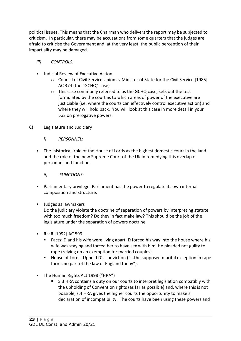political issues. This means that the Chairman who delivers the report may be subjected to criticism. In particular, there may be accusations from some quarters that the judges are afraid to criticise the Government and, at the very least, the public perception of their impartiality may be damaged.

- *iii) CONTROLS:*
- Judicial Review of Executive Action
	- o Council of Civil Service Unions v Minister of State for the Civil Service [1985] AC 374 (the "GCHQ" case)
	- o This case commonly referred to as the GCHQ case, sets out the test formulated by the court as to which areas of power of the executive are justiciable (i.e. where the courts can effectively control executive action) and where they will hold back. You will look at this case in more detail in your LGS on prerogative powers.
- C) Legislature and Judiciary
	- *i) PERSONNEL:*
	- The 'historical' role of the House of Lords as the highest domestic court in the land and the role of the new Supreme Court of the UK in remedying this overlap of personnel and function.
		- *ii) FUNCTIONS:*
	- Parliamentary privilege: Parliament has the power to regulate its own internal composition and structure.
	- Judges as lawmakers

Do the judiciary violate the doctrine of separation of powers by interpreting statute with too much freedom? Do they in fact make law? This should be the job of the legislature under the separation of powers doctrine.

- R v R [1992] AC 599
	- Facts: D and his wife were living apart. D forced his way into the house where his wife was staying and forced her to have sex with him. He pleaded not guilty to rape (relying on an exemption for married couples).
	- House of Lords: Upheld D's conviction ("...the supposed marital exception in rape forms no part of the law of England today").
- The Human Rights Act 1998 ("HRA")
	- S.3 HRA contains a duty on our courts to interpret legislation compatibly with the upholding of Convention rights (as far as possible) and, where this is not possible, s.4 HRA gives the higher courts the opportunity to make a declaration of incompatibility. The courts have been using these powers and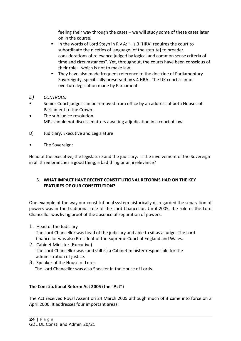feeling their way through the cases – we will study some of these cases later on in the course.

- In the words of Lord Stevn in R v A: "...s.3 [HRA] requires the court to subordinate the niceties of language [of the statute] to broader considerations of relevance judged by logical and common sense criteria of time and circumstances". Yet, throughout, the courts have been conscious of their role – which is not to make law.
- They have also made frequent reference to the doctrine of Parliamentary Sovereignty, specifically preserved by s.4 HRA. The UK courts cannot overturn legislation made by Parliament.
- *iii) CONTROLS:*
- Senior Court judges can be removed from office by an address of both Houses of Parliament to the Crown.
- The sub judice resolution. MPs should not discuss matters awaiting adjudication in a court of law
- D) Judiciary, Executive and Legislature
- The Sovereign:

Head of the executive, the legislature and the judiciary. Is the involvement of the Sovereign in all three branches a good thing, a bad thing or an irrelevance?

## 5. **WHAT IMPACT HAVE RECENT CONSTITUTIONAL REFORMS HAD ON THE KEY FEATURES OF OUR CONSTITUTION?**

One example of the way our constitutional system historically disregarded the separation of powers was in the traditional role of the Lord Chancellor. Until 2005, the role of the Lord Chancellor was living proof of the absence of separation of powers.

- 1. Head of the Judiciary The Lord Chancellor was head of the judiciary and able to sit as a judge. The Lord Chancellor was also President of the Supreme Court of England and Wales.
- 2. Cabinet Minister (Executive) The Lord Chancellor was (and still is) a Cabinet minister responsible for the administration of justice.
- 3. Speaker of the House of Lords. The Lord Chancellor was also Speaker in the House of Lords.

## **The Constitutional Reform Act 2005 (the "Act")**

The Act received Royal Assent on 24 March 2005 although much of it came into force on 3 April 2006. It addresses four important areas: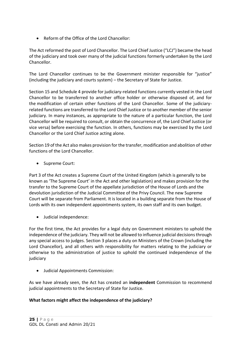• Reform of the Office of the Lord Chancellor:

The Act reformed the post of Lord Chancellor. The Lord Chief Justice ("LCJ") became the head of the judiciary and took over many of the judicial functions formerly undertaken by the Lord Chancellor.

The Lord Chancellor continues to be the Government minister responsible for "justice" (including the judiciary and courts system) – the Secretary of State for Justice.

Section 15 and Schedule 4 provide for judiciary-related functions currently vested in the Lord Chancellor to be transferred to another office holder or otherwise disposed of, and for the modification of certain other functions of the Lord Chancellor. Some of the judiciaryrelated functions are transferred to the Lord Chief Justice or to another member of the senior judiciary. In many instances, as appropriate to the nature of a particular function, the Lord Chancellor will be required to consult, or obtain the concurrence of, the Lord Chief Justice (or vice versa) before exercising the function. In others, functions may be exercised by the Lord Chancellor or the Lord Chief Justice acting alone.

Section 19 of the Act also makes provision for the transfer, modification and abolition of other functions of the Lord Chancellor.

• Supreme Court:

Part 3 of the Act creates a Supreme Court of the United Kingdom (which is generally to be known as 'The Supreme Court' in the Act and other legislation) and makes provision for the transfer to the Supreme Court of the appellate jurisdiction of the House of Lords and the devolution jurisdiction of the Judicial Committee of the Privy Council. The new Supreme Court will be separate from Parliament. It is located in a building separate from the House of Lords with its own independent appointments system, its own staff and its own budget.

• Judicial independence:

For the first time, the Act provides for a legal duty on Government ministers to uphold the independence of the judiciary. They will not be allowed to influence judicial decisions through any special access to judges. Section 3 places a duty on Ministers of the Crown (including the Lord Chancellor), and all others with responsibility for matters relating to the judiciary or otherwise to the administration of justice to uphold the continued independence of the judiciary

• Judicial Appointments Commission:

As we have already seen, the Act has created an **independent** Commission to recommend judicial appointments to the Secretary of State for Justice.

## **What factors might affect the independence of the judiciary?**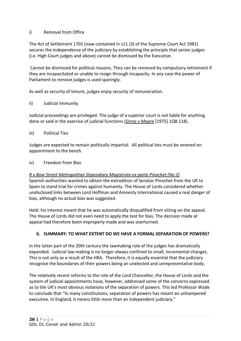## i) Removal from Office

The Act of Settlement 1701 (now contained in s11 (3) of the Supreme Court Act 1981) secures the independence of the judiciary by establishing the principle that senior judges (i.e. High Court judges and above) cannot be dismissed by the Executive.

Cannot be dismissed for political reasons. They can be removed by compulsory retirement if they are incapacitated or unable to resign through incapacity. In any case the power of Parliament to remove judges is used sparingly.

As well as security of tenure, judges enjoy security of remuneration.

#### ii) Judicial Immunity

Judicial proceedings are privileged. The judge of a superior court is not liable for anything done or said in the exercise of judicial functions (*Sirros v Moore* [1975] 1QB 118).

#### iii) Political Ties

Judges are expected to remain politically impartial. All political ties must be severed on appointment to the bench.

#### iv) Freedom from Bias

#### *R v Bow Street Metropolitan Stipendiary Magistrate ex parte Pinochet (No 2)*

Spanish authorities wanted to obtain the extradition of Senator Pinochet from the UK to Spain to stand trial for crimes against humanity. The House of Lords considered whether undisclosed links between Lord Hoffman and Amnesty International caused a real danger of bias, although no actual bias was suggested.

Held: his interest meant that he was automatically disqualified from sitting on the appeal. The House of Lords did not even need to apply the test for bias. The decision made at appeal had therefore been improperly made and was overturned.

## **6. SUMMARY: TO WHAT EXTENT DO WE HAVE A FORMAL SEPARATION OF POWERS?**

In the latter part of the 20th century the lawmaking role of the judges has dramatically expanded. Judicial law making is no longer always confined to small, incremental changes. This is not only as a result of the HRA. Therefore, it is equally essential that the judiciary recognise the boundaries of their powers being an unelected and unrepresentative body.

The relatively recent reforms to the role of the Lord Chancellor, the House of Lords and the system of judicial appointments have, however, addressed some of the concerns expressed as to the UK's most obvious violations of the separation of powers. This led Professor Wade to conclude that "In many constitutions, separation of powers has meant an unhampered executive. In England, it means little more than an independent judiciary."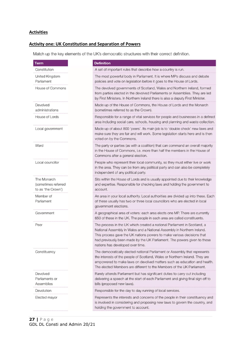#### **Activities**

## **Activity one: UK Constitution and Separation of Powers**

Match up the key elements of the UK's democratic structures with their correct definition.

| <b>Term</b>                                              | <b>Definition</b>                                                                                                                                                                                                                                                                                                                             |  |
|----------------------------------------------------------|-----------------------------------------------------------------------------------------------------------------------------------------------------------------------------------------------------------------------------------------------------------------------------------------------------------------------------------------------|--|
| Constitution                                             | A set of important rules that describe how a country is run.                                                                                                                                                                                                                                                                                  |  |
| United Kingdom<br>Parliament                             | The most powerful body in Parliament. It is where MPs discuss and debate<br>policies and vote on legislation before it goes to the House of Lords.                                                                                                                                                                                            |  |
| House of Commons                                         | The devolved governments of Scotland, Wales and Northern Ireland, formed<br>from parties elected in the devolved Parliaments or Assemblies. They are led<br>by First Ministers. In Northern Ireland there is also a deputy First Minister.                                                                                                    |  |
| Devolved<br>administrations                              | Made up of the House of Commons, the House of Lords and the Monarch<br>(sometimes referred to as the Crown).                                                                                                                                                                                                                                  |  |
| House of Lords                                           | Responsible for a range of vital services for people and businesses in a defined<br>area including social care, schools, housing and planning and waste collection.                                                                                                                                                                           |  |
| Local government                                         | Made up of about 800 'peers'. Its main job is to 'double check' new laws and<br>make sure they are fair and will work. Some legislation starts here and is then<br>voted on by the Commons.                                                                                                                                                   |  |
| Ward                                                     | The party or parties (as with a coalition) that can command an overall majority<br>in the House of Commons, i.e. more than half the members in the House of<br>Commons after a general election.                                                                                                                                              |  |
| Local councillor                                         | People who represent their local community, so they must either live or work<br>in the area. They can be from any political party and can also be completely<br>independent of any political party.                                                                                                                                           |  |
| The Monarch<br>(sometimes referred<br>to as 'the Crown') | Sits within the House of Lords and is usually appointed due to their knowledge<br>and expertise. Responsible for checking laws and holding the government to<br>account.                                                                                                                                                                      |  |
| Member of<br>Parliament                                  | An area in your local authority. Local authorities are divided up into these. Each<br>of these usually has two or three local councillors who are elected in local<br>government elections.                                                                                                                                                   |  |
| Government                                               | A geographical area of voters: each area elects one MP. There are currently<br>650 of these in the UK. The people in each area are called constituents.                                                                                                                                                                                       |  |
| Peer                                                     | The process in the UK which created a national Parliament in Scotland, a<br>National Assembly in Wales and a National Assembly in Northern Ireland.<br>This process gave the UK nations powers to make various decisions that<br>had previously been made by the UK Parliament. The powers given to these<br>nations has developed over time. |  |
| Constituency                                             | The democratically elected national Parliament or Assembly that represents<br>the interests of the people of Scotland, Wales or Northern Ireland. They are<br>empowered to make laws on devolved matters such as education and health.<br>The elected Members are different to the Members of the UK Parliament.                              |  |
| Devolved<br>Parliaments or<br>Assemblies                 | Rarely attends Parliament but has significant duties to carry out including<br>delivering a speech at the start of each Parliament and giving final sign off to<br>bills (proposed new laws).                                                                                                                                                 |  |
| Devolution                                               | Responsible for the day to day running of local services.                                                                                                                                                                                                                                                                                     |  |
| Elected mayor                                            | Represents the interests and concerns of the people in their constituency and<br>is involved in considering and proposing new laws to govern the country, and<br>holding the government to account.                                                                                                                                           |  |